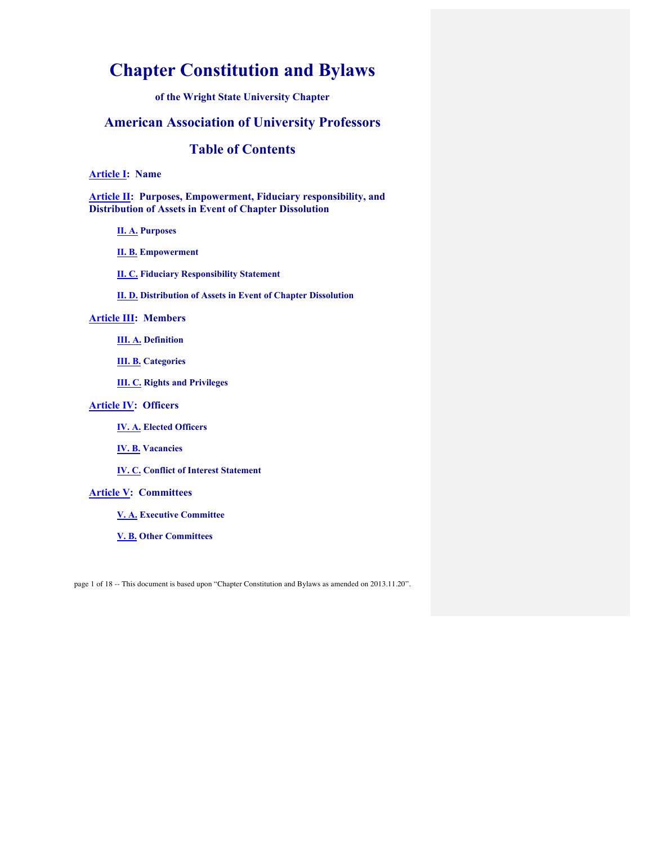# **Chapter Constitution and Bylaws**

**of the Wright State University Chapter**

## **American Association of University Professors**

## **Table of Contents**

**Article I: Name**

**Article II: Purposes, Empowerment, Fiduciary responsibility, and Distribution of Assets in Event of Chapter Dissolution**

**II. A. Purposes**

**II. B. Empowerment**

**II. C. Fiduciary Responsibility Statement**

**II. D. Distribution of Assets in Event of Chapter Dissolution**

## **Article III: Members**

**III. A. Definition**

**III. B. Categories**

**III. C. Rights and Privileges**

## **Article IV: Officers**

**IV. A. Elected Officers**

**IV. B. Vacancies**

**IV. C. Conflict of Interest Statement**

## **Article V: Committees**

**V. A. Executive Committee**

**V. B. Other Committees**

page 1 of 18 -- This document is based upon "Chapter Constitution and Bylaws as amended on 2013.11.20".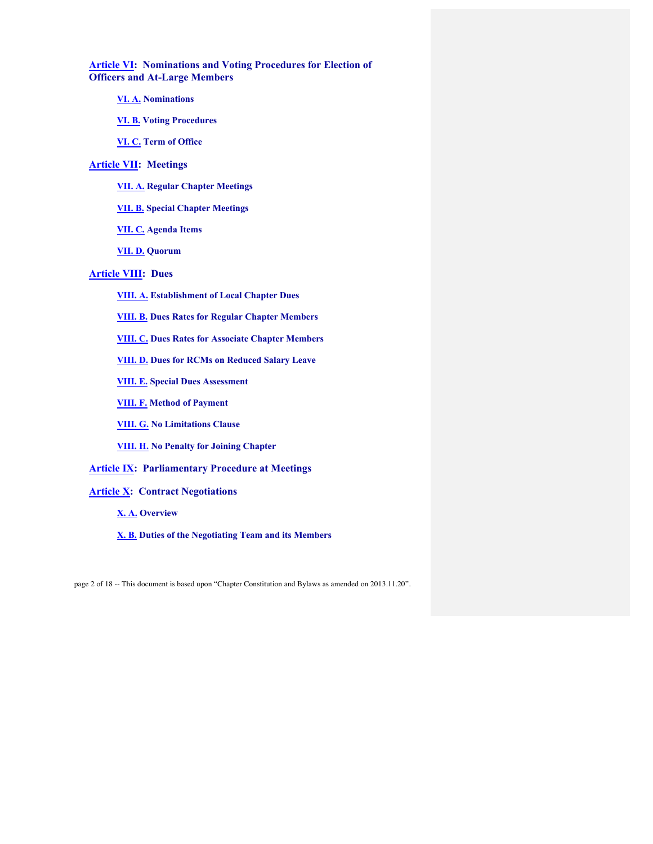**Article VI: Nominations and Voting Procedures for Election of Officers and At-Large Members**

- **VI. A. Nominations**
- **VI. B. Voting Procedures**
- **VI. C. Term of Office**

## **Article VII: Meetings**

- **VII. A. Regular Chapter Meetings**
- **VII. B. Special Chapter Meetings**
- **VII. C. Agenda Items**
- **VII. D. Quorum**

## **Article VIII: Dues**

- **VIII. A. Establishment of Local Chapter Dues**
- **VIII. B. Dues Rates for Regular Chapter Members**
- **VIII. C. Dues Rates for Associate Chapter Members**
- **VIII. D. Dues for RCMs on Reduced Salary Leave**
- **VIII. E. Special Dues Assessment**
- **VIII. F. Method of Payment**
- **VIII. G. No Limitations Clause**
- **VIII. H. No Penalty for Joining Chapter**

## **Article IX: Parliamentary Procedure at Meetings**

## **Article X: Contract Negotiations**

- **X. A. Overview**
- **X. B. Duties of the Negotiating Team and its Members**

page 2 of 18 -- This document is based upon "Chapter Constitution and Bylaws as amended on 2013.11.20".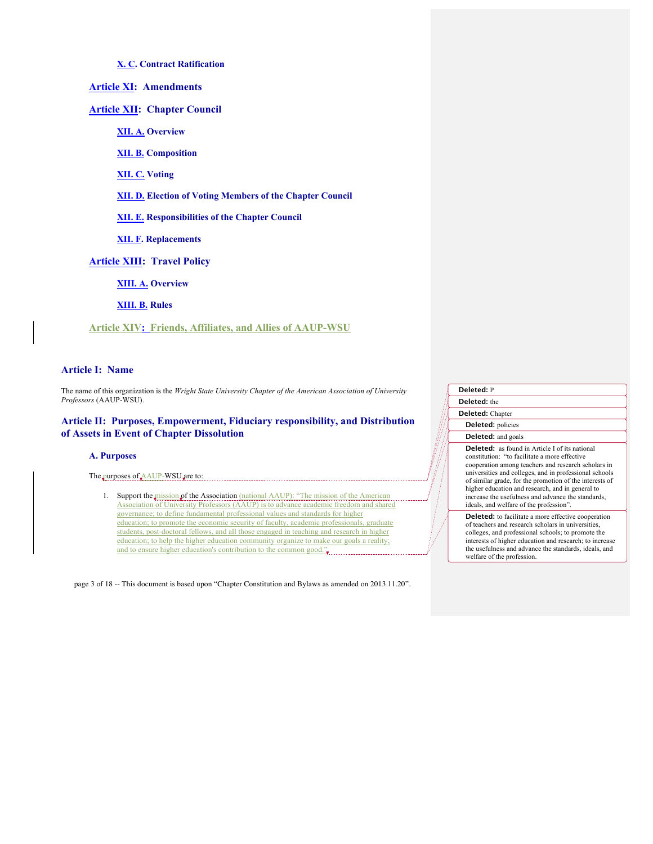## **X. C. Contract Ratification**

**Article XI: Amendments**

**Article XII: Chapter Council**

**XII. A. Overview**

**XII. B. Composition**

**XII. C. Voting**

**XII. D. Election of Voting Members of the Chapter Council**

**XII. E. Responsibilities of the Chapter Council**

**XII. F. Replacements**

**Article XIII: Travel Policy**

**XIII. A. Overview**

**XIII. B. Rules**

**Article XIV: Friends, Affiliates, and Allies of AAUP-WSU**

## **Article I: Name**

The name of this organization is the *Wright State University Chapter of the American Association of University Professors* (AAUP-WSU).

## **Article II: Purposes, Empowerment, Fiduciary responsibility, and Distribution of Assets in Event of Chapter Dissolution**

#### **A. Purposes**

The purposes of AAUP-WSU are to:

1. Support the mission of the Association (national AAUP): "The mission of the American Association of University Professors (AAUP) is to advance academic freedom and shared governance; to define fundamental professional values and standards for higher education; to promote the economic security of faculty, academic professionals, graduate students, post-doctoral fellows, and all those engaged in teaching and research in higher education; to help the higher education community organize to make our goals a reality; and to ensure higher education's contribution to the common good."

page 3 of 18 -- This document is based upon "Chapter Constitution and Bylaws as amended on 2013.11.20".

| <b>Deleted: P</b>         |  |
|---------------------------|--|
| <b>Deleted:</b> the       |  |
| <b>Deleted:</b> Chapter   |  |
| <b>Deleted:</b> policies  |  |
| <b>Deleted:</b> and goals |  |

**Deleted:** as found in Article I of its national constitution: "to facilitate a more effective cooperation among teachers and research scholars in universities and colleges, and in professional schools of similar grade, for the promotion of the interests of higher education and research, and in general to increase the usefulness and advance the standards, ideals, and welfare of the profession".

**Deleted:** to facilitate a more effective cooperation of teachers and research scholars in universities, colleges, and professional schools; to promote the interests of higher education and research; to increase the usefulness and advance the standards, ideals, and welfare of the profession.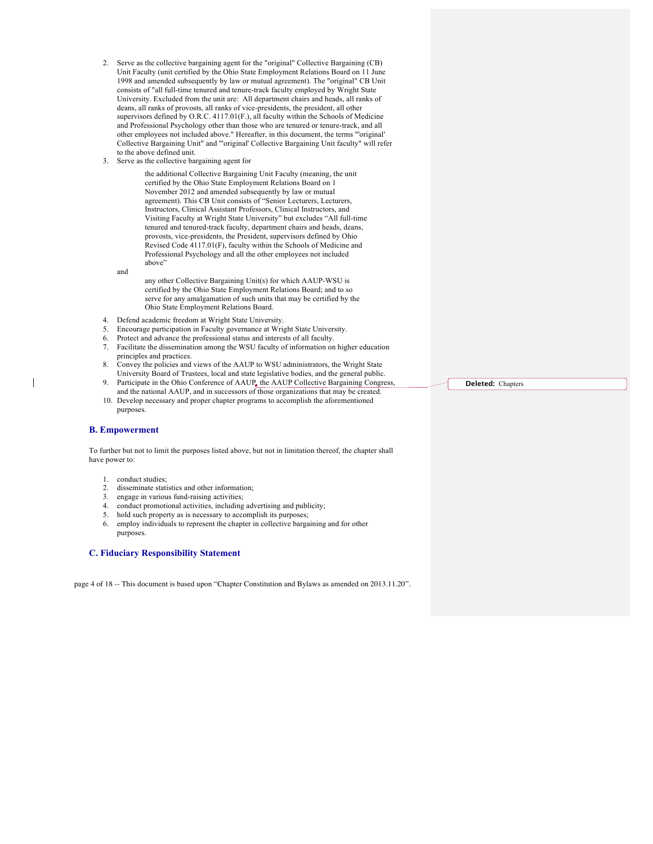- 2. Serve as the collective bargaining agent for the "original" Collective Bargaining (CB) Unit Faculty (unit certified by the Ohio State Employment Relations Board on 11 June 1998 and amended subsequently by law or mutual agreement). The "original" CB Unit consists of "all full-time tenured and tenure-track faculty employed by Wright State University. Excluded from the unit are: All department chairs and heads, all ranks of deans, all ranks of provosts, all ranks of vice-presidents, the president, all other supervisors defined by O.R.C. 4117.01(F.), all faculty within the Schools of Medicine and Professional Psychology other than those who are tenured or tenure-track, and all other employees not included above." Hereafter, in this document, the terms "'original' Collective Bargaining Unit" and "'original' Collective Bargaining Unit faculty" will refer to the above defined unit.
- 3. Serve as the collective bargaining agent for

the additional Collective Bargaining Unit Faculty (meaning, the unit certified by the Ohio State Employment Relations Board on 1 November 2012 and amended subsequently by law or mutual agreement). This CB Unit consists of "Senior Lecturers, Lecturers, Instructors, Clinical Assistant Professors, Clinical Instructors, and Visiting Faculty at Wright State University" but excludes "All full-time tenured and tenured-track faculty, department chairs and heads, deans, provosts, vice-presidents, the President, supervisors defined by Ohio Revised Code 4117.01(F), faculty within the Schools of Medicine and Professional Psychology and all the other employees not included above"

and

any other Collective Bargaining Unit(s) for which AAUP-WSU is certified by the Ohio State Employment Relations Board; and to so serve for any amalgamation of such units that may be certified by the Ohio State Employment Relations Board.

- 4. Defend academic freedom at Wright State University.
- 5. Encourage participation in Faculty governance at Wright State University.
- 6. Protect and advance the professional status and interests of all faculty.
- 7. Facilitate the dissemination among the WSU faculty of information on higher education principles and practices.
- 8. Convey the policies and views of the AAUP to WSU administrators, the Wright State University Board of Trustees, local and state legislative bodies, and the general public.
- 9. Participate in the Ohio Conference of AAUP, the AAUP Collective Bargaining Congress and the national AAUP, and in successors of those organizations that may be created.
- 10. Develop necessary and proper chapter programs to accomplish the aforementioned purposes.

#### **B. Empowerment**

To further but not to limit the purposes listed above, but not in limitation thereof, the chapter shall have power to:

- 1. conduct studies;
- 2. disseminate statistics and other information;
- 3. engage in various fund-raising activities;
- 4. conduct promotional activities, including advertising and publicity;
- 5. hold such property as is necessary to accomplish its purposes;
- 6. employ individuals to represent the chapter in collective bargaining and for other purposes.

#### **C. Fiduciary Responsibility Statement**

page 4 of 18 -- This document is based upon "Chapter Constitution and Bylaws as amended on 2013.11.20".

**Deleted:** Chapters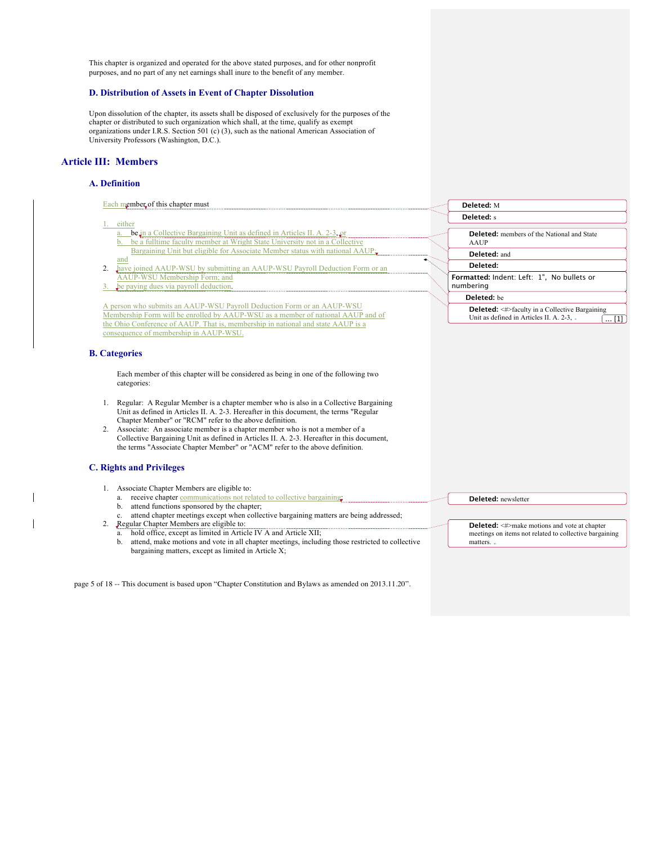This chapter is organized and operated for the above stated purposes, and for other nonprofit purposes, and no part of any net earnings shall inure to the benefit of any member.

## **D. Distribution of Assets in Event of Chapter Dissolution**

Upon dissolution of the chapter, its assets shall be disposed of exclusively for the purposes of the chapter or distributed to such organization which shall, at the time, qualify as exempt organizations under I.R.S. Section 501 (c) (3), such as the national American Association of University Professors (Washington, D.C.).

## **Article III: Members**

 $\overline{\phantom{a}}$ 

 $\overline{\phantom{a}}$ 

## **A. Definition**

| Each member of this chapter must                                                                                                                                                                                                                                                                                                                                                                                                                                                                            | Deleted: M                                                                                                               |
|-------------------------------------------------------------------------------------------------------------------------------------------------------------------------------------------------------------------------------------------------------------------------------------------------------------------------------------------------------------------------------------------------------------------------------------------------------------------------------------------------------------|--------------------------------------------------------------------------------------------------------------------------|
|                                                                                                                                                                                                                                                                                                                                                                                                                                                                                                             | <b>Deleted:</b> s                                                                                                        |
| either<br>be in a Collective Bargaining Unit as defined in Articles II. A. 2-3, or<br>a.<br>be a fulltime faculty member at Wright State University not in a Collective                                                                                                                                                                                                                                                                                                                                     | <b>Deleted:</b> members of the National and State<br>AAUP                                                                |
| Bargaining Unit but eligible for Associate Member status with national AAUP;                                                                                                                                                                                                                                                                                                                                                                                                                                | Deleted: and                                                                                                             |
| and<br>have joined AAUP-WSU by submitting an AAUP-WSU Payroll Deduction Form or an<br>2.                                                                                                                                                                                                                                                                                                                                                                                                                    | Deleted:                                                                                                                 |
| AAUP-WSU Membership Form; and<br>be paying dues via payroll deduction.<br>3.                                                                                                                                                                                                                                                                                                                                                                                                                                | Formatted: Indent: Left: 1", No bullets or<br>numbering                                                                  |
|                                                                                                                                                                                                                                                                                                                                                                                                                                                                                                             | Deleted: be                                                                                                              |
| A person who submits an AAUP-WSU Payroll Deduction Form or an AAUP-WSU<br>Membership Form will be enrolled by AAUP-WSU as a member of national AAUP and of<br>the Ohio Conference of AAUP. That is, membership in national and state AAUP is a<br>consequence of membership in AAUP-WSU.                                                                                                                                                                                                                    | <b>Deleted:</b> <#>faculty in a Collective Bargaining<br>Unit as defined in Articles II. A. 2-3, .<br>$\ldots$ [1]       |
| <b>B.</b> Categories                                                                                                                                                                                                                                                                                                                                                                                                                                                                                        |                                                                                                                          |
| Each member of this chapter will be considered as being in one of the following two<br>categories:                                                                                                                                                                                                                                                                                                                                                                                                          |                                                                                                                          |
| 1. Regular: A Regular Member is a chapter member who is also in a Collective Bargaining<br>Unit as defined in Articles II. A. 2-3. Hereafter in this document, the terms "Regular<br>Chapter Member" or "RCM" refer to the above definition.<br>2. Associate: An associate member is a chapter member who is not a member of a<br>Collective Bargaining Unit as defined in Articles II. A. 2-3. Hereafter in this document,<br>the terms "Associate Chapter Member" or "ACM" refer to the above definition. |                                                                                                                          |
| <b>C. Rights and Privileges</b>                                                                                                                                                                                                                                                                                                                                                                                                                                                                             |                                                                                                                          |
| 1. Associate Chapter Members are eligible to:<br>receive chapter communications not related to collective bargaining.<br>a.<br>attend functions sponsored by the chapter;<br>b.<br>attend chapter meetings except when collective bargaining matters are being addressed;<br>c.                                                                                                                                                                                                                             | Deleted: newsletter                                                                                                      |
| Regular Chapter Members are eligible to:<br>2.<br>hold office, except as limited in Article IV A and Article XII;<br>a.<br>attend, make motions and vote in all chapter meetings, including those restricted to collective<br>b.<br>bargaining matters, except as limited in Article X;                                                                                                                                                                                                                     | <b>Deleted:</b> <#>make motions and vote at chapter<br>meetings on items not related to collective bargaining<br>matters |
|                                                                                                                                                                                                                                                                                                                                                                                                                                                                                                             |                                                                                                                          |

page 5 of 18 -- This document is based upon "Chapter Constitution and Bylaws as amended on 2013.11.20".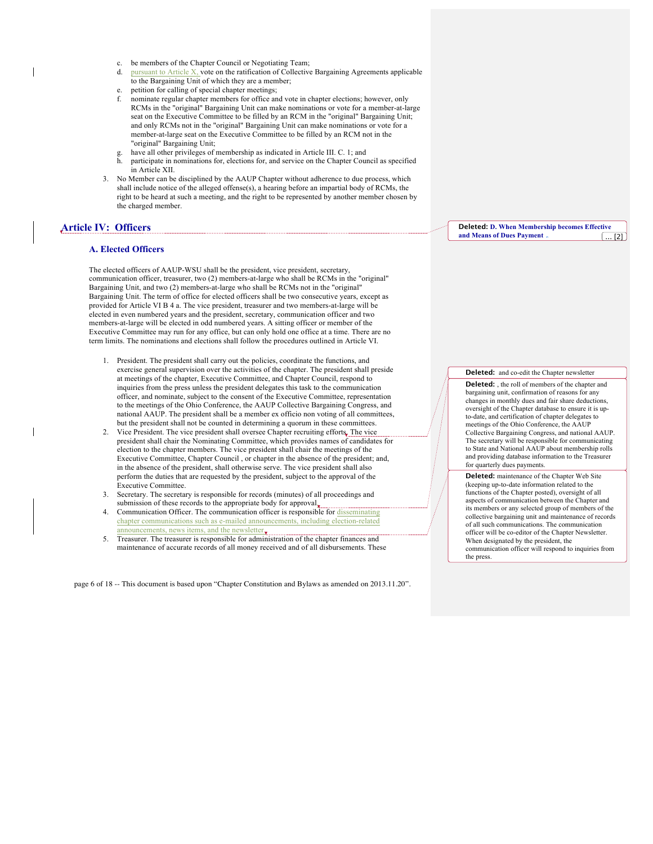- c. be members of the Chapter Council or Negotiating Team;
- d. pursuant to Article  $X$ , vote on the ratification of Collective Bargaining Agreements applicable to the Bargaining Unit of which they are a member;
- e. petition for calling of special chapter meetings;
- f. nominate regular chapter members for office and vote in chapter elections; however, only RCMs in the "original" Bargaining Unit can make nominations or vote for a member-at-large seat on the Executive Committee to be filled by an RCM in the "original" Bargaining Unit; and only RCMs not in the "original" Bargaining Unit can make nominations or vote for a member-at-large seat on the Executive Committee to be filled by an RCM not in the "original" Bargaining Unit;
- have all other privileges of membership as indicated in Article III. C. 1; and
- h. participate in nominations for, elections for, and service on the Chapter Council as specified in Article XII.
- 3. No Member can be disciplined by the AAUP Chapter without adherence to due process, which shall include notice of the alleged offense(s), a hearing before an impartial body of RCMs, the right to be heard at such a meeting, and the right to be represented by another member chosen by the charged member.

## **Article IV: Officers**

#### **A. Elected Officers**

The elected officers of AAUP-WSU shall be the president, vice president, secretary, communication officer, treasurer, two (2) members-at-large who shall be RCMs in the "original" Bargaining Unit, and two (2) members-at-large who shall be RCMs not in the "original" Bargaining Unit. The term of office for elected officers shall be two consecutive years, except as provided for Article VI B 4 a. The vice president, treasurer and two members-at-large will be elected in even numbered years and the president, secretary, communication officer and two members-at-large will be elected in odd numbered years. A sitting officer or member of the Executive Committee may run for any office, but can only hold one office at a time. There are no term limits. The nominations and elections shall follow the procedures outlined in Article VI.

- 1. President. The president shall carry out the policies, coordinate the functions, and exercise general supervision over the activities of the chapter. The president shall preside at meetings of the chapter, Executive Committee, and Chapter Council, respond to inquiries from the press unless the president delegates this task to the communication officer, and nominate, subject to the consent of the Executive Committee, representation to the meetings of the Ohio Conference, the AAUP Collective Bargaining Congress, and national AAUP. The president shall be a member ex officio non voting of all committees, but the president shall not be counted in determining a quorum in these committees.
- 2. Vice President. The vice president shall oversee Chapter recruiting efforts. The vice president shall chair the Nominating Committee, which provides names of candidates for election to the chapter members. The vice president shall chair the meetings of the Executive Committee, Chapter Council , or chapter in the absence of the president; and, in the absence of the president, shall otherwise serve. The vice president shall also perform the duties that are requested by the president, subject to the approval of the Executive Committee.
- 3. Secretary. The secretary is responsible for records (minutes) of all proceedings and submission of these records to the appropriate body for approval,
- Communication Officer. The communication officer is responsible for disseminating chapter communications such as e-mailed announcements, including election-related innouncements, news items, and the newsletter.
- 5. Treasurer. The treasurer is responsible for administration of the chapter finances and maintenance of accurate records of all money received and of all disbursements. These

page 6 of 18 -- This document is based upon "Chapter Constitution and Bylaws as amended on 2013.11.20".

**Deleted: D. When Membership becomes Effective and Means of Dues Payment.** 

#### **Deleted:** and co-edit the Chapter newsletter

**Deleted:** , the roll of members of the chapter and bargaining unit, confirmation of reasons for any changes in monthly dues and fair share deductions, oversight of the Chapter database to ensure it is upto-date, and certification of chapter delegates to meetings of the Ohio Conference, the AAUP Collective Bargaining Congress, and national AAUP. The secretary will be responsible for communicating to State and National AAUP about membership rolls and providing database information to the Treasurer for quarterly dues payments.

**Deleted:** maintenance of the Chapter Web Site (keeping up-to-date information related to the functions of the Chapter posted), oversight of all aspects of communication between the Chapter and its members or any selected group of members of the collective bargaining unit and maintenance of records of all such communications. The communication officer will be co-editor of the Chapter Newsletter. When designated by the president, the communication officer will respond to inquiries from the press.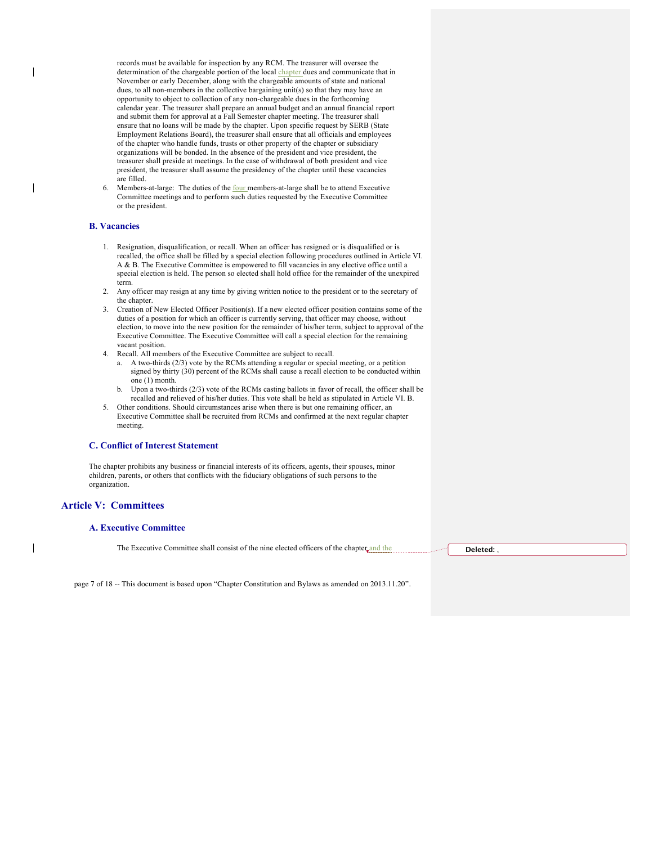records must be available for inspection by any RCM. The treasurer will oversee the determination of the chargeable portion of the local chapter dues and communicate that in November or early December, along with the chargeable amounts of state and national dues, to all non-members in the collective bargaining unit(s) so that they may have an opportunity to object to collection of any non-chargeable dues in the forthcoming calendar year. The treasurer shall prepare an annual budget and an annual financial report and submit them for approval at a Fall Semester chapter meeting. The treasurer shall ensure that no loans will be made by the chapter. Upon specific request by SERB (State Employment Relations Board), the treasurer shall ensure that all officials and employees of the chapter who handle funds, trusts or other property of the chapter or subsidiary organizations will be bonded. In the absence of the president and vice president, the treasurer shall preside at meetings. In the case of withdrawal of both president and vice president, the treasurer shall assume the presidency of the chapter until these vacancies are filled.

Members-at-large: The duties of the **four members-at-large shall be to attend Executive** Committee meetings and to perform such duties requested by the Executive Committee or the president.

#### **B. Vacancies**

- 1. Resignation, disqualification, or recall. When an officer has resigned or is disqualified or is recalled, the office shall be filled by a special election following procedures outlined in Article VI. A & B. The Executive Committee is empowered to fill vacancies in any elective office until a special election is held. The person so elected shall hold office for the remainder of the unexpired term.
- 2. Any officer may resign at any time by giving written notice to the president or to the secretary of the chapter.
- 3. Creation of New Elected Officer Position(s). If a new elected officer position contains some of the duties of a position for which an officer is currently serving, that officer may choose, without election, to move into the new position for the remainder of his/her term, subject to approval of the Executive Committee. The Executive Committee will call a special election for the remaining vacant position.
- 4. Recall. All members of the Executive Committee are subject to recall.
	- a. A two-thirds (2/3) vote by the RCMs attending a regular or special meeting, or a petition signed by thirty (30) percent of the RCMs shall cause a recall election to be conducted within one (1) month.
	- b. Upon a two-thirds (2/3) vote of the RCMs casting ballots in favor of recall, the officer shall be recalled and relieved of his/her duties. This vote shall be held as stipulated in Article VI. B.
- 5. Other conditions. Should circumstances arise when there is but one remaining officer, an Executive Committee shall be recruited from RCMs and confirmed at the next regular chapter meeting.

#### **C. Conflict of Interest Statement**

The chapter prohibits any business or financial interests of its officers, agents, their spouses, minor children, parents, or others that conflicts with the fiduciary obligations of such persons to the organization.

#### **Article V: Committees**

#### **A. Executive Committee**

The Executive Committee shall consist of the nine elected officers of the chapter and the **Deleted: Deleted:** 

page 7 of 18 -- This document is based upon "Chapter Constitution and Bylaws as amended on 2013.11.20".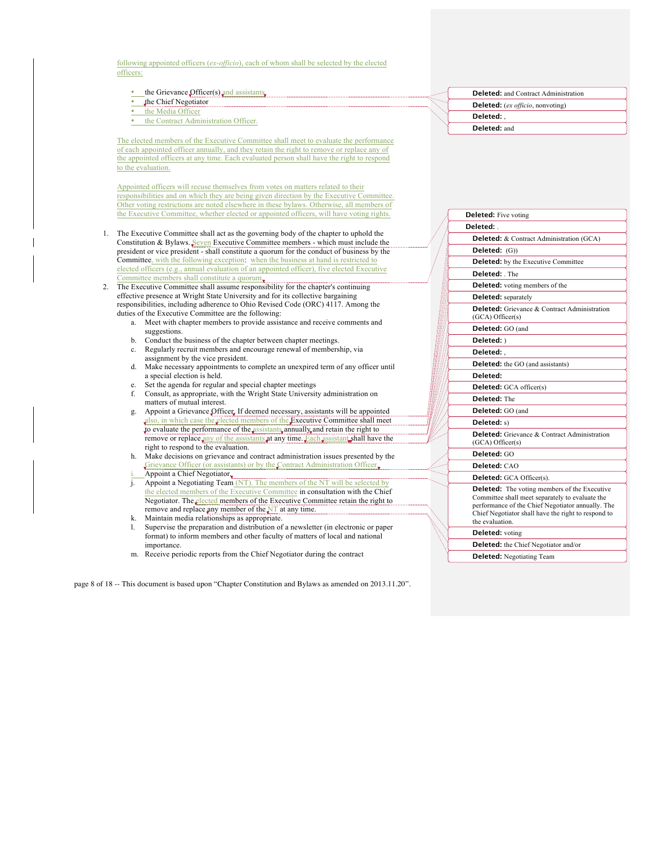following appointed officers (*ex-officio*), each of whom shall be selected by the elected officers:

- the Grievance Officer(s) and assistants.
- the Chief Negotiator
- the Media Officer
- the Contract Administration Officer.

The elected members of the Executive Committee shall meet to evaluate the performance of each appointed officer annually, and they retain the right to remove or replace any of the appointed officers at any time. Each evaluated person shall have the right to respond to the evaluation.

Appointed officers will recuse themselves from votes on matters related to their responsibilities and on which they are being given direction by the Executive Committee. Other voting restrictions are noted elsewhere in these bylaws. Otherwise, all members of the Executive Committee, whether elected or appointed officers, will have voting rights.

- 1. The Executive Committee shall act as the governing body of the chapter to uphold the Constitution & Bylaws. Seven Executive Committee members - which must include the president or vice president - shall constitute a quorum for the conduct of business by the Committee, with the following exception: when the business at hand is restricted to elected officers (e.g., annual evaluation of an appointed officer), five elected Executive Committee members shall constitute a quorum.
- 2. The Executive Committee shall assume responsibility for the chapter's continuing effective presence at Wright State University and for its collective bargaining responsibilities, including adherence to Ohio Revised Code (ORC) 4117. Among the duties of the Executive Committee are the following:
	- a. Meet with chapter members to provide assistance and receive comments and suggestions.
	- b. Conduct the business of the chapter between chapter meetings.
	- c. Regularly recruit members and encourage renewal of membership, via assignment by the vice president.
	- d. Make necessary appointments to complete an unexpired term of any officer until a special election is held.
	- Set the agenda for regular and special chapter meetings
	- f. Consult, as appropriate, with the Wright State University administration on matters of mutual interest.
	- g. Appoint a Grievance Officer. If deemed necessary, assistants will be appointed also, in which case the elected members of the Executive Committee shall meet to evaluate the performance of the assistants annually and retain the right to remove or replace any of the assistants at any time. Each assistant shall have the right to respond to the evaluation.
	- h. Make decisions on grievance and contract administration issues presented by the Grievance Officer (or assistants) or by the Contract Administration Officer.
	- Appoint a Chief Negotiator $\overline{\mathbf{r}}$ .
	- j. Appoint a Negotiating Team (NT). The members of the NT will be selected by the elected members of the Executive Committee in consultation with the Chief Negotiator. The elected members of the Executive Committee retain the right to remove and replace any member of the NT at any time.
	- k. Maintain media relationships as appropriate.
	- Supervise the preparation and distribution of a newsletter (in electronic or paper format) to inform members and other faculty of matters of local and national importance.
	- m. Receive periodic reports from the Chief Negotiator during the contract

page 8 of 18 -- This document is based upon "Chapter Constitution and Bylaws as amended on 2013.11.20".

| <b>Deleted:</b> and Contract Administration |
|---------------------------------------------|
| <b>Deleted:</b> (ex officio, nonvoting)     |
| Deleted:                                    |
| Deleted: and                                |

|                                                                                     | <b>Deleted:</b> Five voting                                                                                                                                                                                                           |  |  |  |                                            |                                                                              |  |  |
|-------------------------------------------------------------------------------------|---------------------------------------------------------------------------------------------------------------------------------------------------------------------------------------------------------------------------------------|--|--|--|--------------------------------------------|------------------------------------------------------------------------------|--|--|
|                                                                                     | Deleted:                                                                                                                                                                                                                              |  |  |  |                                            |                                                                              |  |  |
| Deleted: & Contract Administration (GCA)<br>Deleted: (G))                           |                                                                                                                                                                                                                                       |  |  |  |                                            |                                                                              |  |  |
|                                                                                     |                                                                                                                                                                                                                                       |  |  |  | <b>Deleted:</b> by the Executive Committee |                                                                              |  |  |
| Deleted: The<br><b>Deleted:</b> voting members of the<br><b>Deleted:</b> separately |                                                                                                                                                                                                                                       |  |  |  |                                            |                                                                              |  |  |
|                                                                                     |                                                                                                                                                                                                                                       |  |  |  |                                            | <b>Deleted:</b> Grievance & Contract Administration<br>$(GCA)$ Officer $(s)$ |  |  |
|                                                                                     |                                                                                                                                                                                                                                       |  |  |  |                                            | Deleted: GO (and                                                             |  |  |
| Deleted: )<br>Deleted: .<br>Deleted: the GO (and assistants)                        |                                                                                                                                                                                                                                       |  |  |  |                                            |                                                                              |  |  |
|                                                                                     |                                                                                                                                                                                                                                       |  |  |  | Deleted:                                   |                                                                              |  |  |
|                                                                                     |                                                                                                                                                                                                                                       |  |  |  | <b>Deleted:</b> GCA officer(s)             |                                                                              |  |  |
| Deleted: The<br>Deleted: GO (and                                                    |                                                                                                                                                                                                                                       |  |  |  |                                            |                                                                              |  |  |
|                                                                                     |                                                                                                                                                                                                                                       |  |  |  | Deleted: s)                                |                                                                              |  |  |
|                                                                                     | <b>Deleted:</b> Grievance & Contract Administration<br>$(GCA)$ Officer $(s)$                                                                                                                                                          |  |  |  |                                            |                                                                              |  |  |
|                                                                                     | Deleted: GO                                                                                                                                                                                                                           |  |  |  |                                            |                                                                              |  |  |
|                                                                                     | Deleted: CAO                                                                                                                                                                                                                          |  |  |  |                                            |                                                                              |  |  |
| Deleted: GCA Officer(s).                                                            |                                                                                                                                                                                                                                       |  |  |  |                                            |                                                                              |  |  |
|                                                                                     | <b>Deleted:</b> The voting members of the Executive<br>Committee shall meet separately to evaluate the<br>performance of the Chief Negotiator annually. The<br>Chief Negotiator shall have the right to respond to<br>the evaluation. |  |  |  |                                            |                                                                              |  |  |
|                                                                                     | <b>Deleted:</b> voting                                                                                                                                                                                                                |  |  |  |                                            |                                                                              |  |  |
|                                                                                     | <b>Deleted:</b> the Chief Negotiator and/or                                                                                                                                                                                           |  |  |  |                                            |                                                                              |  |  |
|                                                                                     | <b>Deleted:</b> Negotiating Team                                                                                                                                                                                                      |  |  |  |                                            |                                                                              |  |  |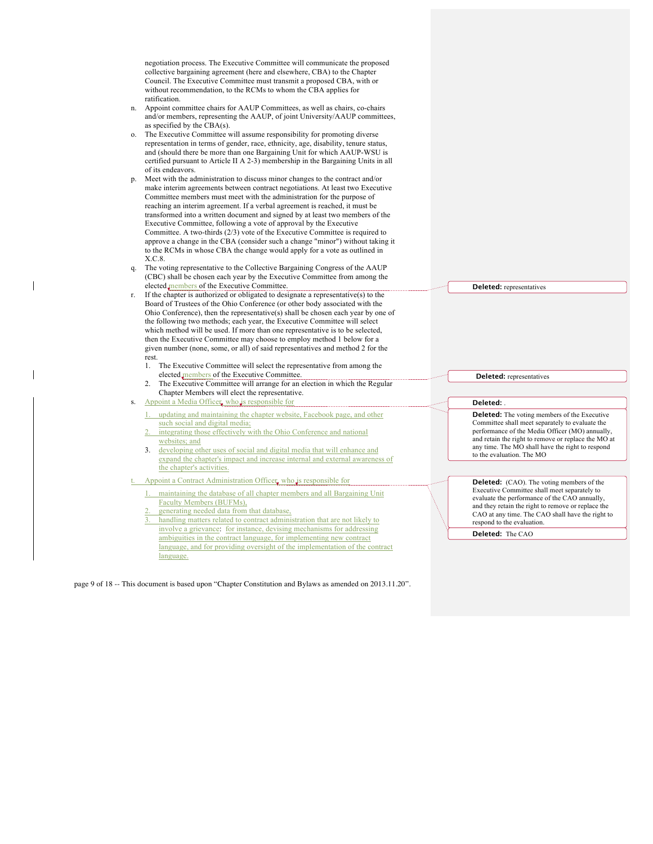|                  | negotiation process. The Executive Committee will communicate the proposed<br>collective bargaining agreement (here and elsewhere, CBA) to the Chapter<br>Council. The Executive Committee must transmit a proposed CBA, with or<br>without recommendation, to the RCMs to whom the CBA applies for<br>ratification.                                                                                                                                                                                                                                                                                                                                                                                                         |                                                                                                                                                                                                                                                                                                   |
|------------------|------------------------------------------------------------------------------------------------------------------------------------------------------------------------------------------------------------------------------------------------------------------------------------------------------------------------------------------------------------------------------------------------------------------------------------------------------------------------------------------------------------------------------------------------------------------------------------------------------------------------------------------------------------------------------------------------------------------------------|---------------------------------------------------------------------------------------------------------------------------------------------------------------------------------------------------------------------------------------------------------------------------------------------------|
|                  | n. Appoint committee chairs for AAUP Committees, as well as chairs, co-chairs<br>and/or members, representing the AAUP, of joint University/AAUP committees,                                                                                                                                                                                                                                                                                                                                                                                                                                                                                                                                                                 |                                                                                                                                                                                                                                                                                                   |
|                  | as specified by the $CBA(s)$ .<br>o. The Executive Committee will assume responsibility for promoting diverse<br>representation in terms of gender, race, ethnicity, age, disability, tenure status,<br>and (should there be more than one Bargaining Unit for which AAUP-WSU is<br>certified pursuant to Article II A 2-3) membership in the Bargaining Units in all<br>of its endeavors.                                                                                                                                                                                                                                                                                                                                   |                                                                                                                                                                                                                                                                                                   |
| p.<br>X.C.8.     | Meet with the administration to discuss minor changes to the contract and/or<br>make interim agreements between contract negotiations. At least two Executive<br>Committee members must meet with the administration for the purpose of<br>reaching an interim agreement. If a verbal agreement is reached, it must be<br>transformed into a written document and signed by at least two members of the<br>Executive Committee, following a vote of approval by the Executive<br>Committee. A two-thirds (2/3) vote of the Executive Committee is required to<br>approve a change in the CBA (consider such a change "minor") without taking it<br>to the RCMs in whose CBA the change would apply for a vote as outlined in |                                                                                                                                                                                                                                                                                                   |
| q.               | The voting representative to the Collective Bargaining Congress of the AAUP<br>(CBC) shall be chosen each year by the Executive Committee from among the                                                                                                                                                                                                                                                                                                                                                                                                                                                                                                                                                                     |                                                                                                                                                                                                                                                                                                   |
| rest.<br>$1_{-}$ | elected members of the Executive Committee.<br>r. If the chapter is authorized or obligated to designate a representative(s) to the<br>Board of Trustees of the Ohio Conference (or other body associated with the<br>Ohio Conference), then the representative(s) shall be chosen each year by one of<br>the following two methods; each year, the Executive Committee will select<br>which method will be used. If more than one representative is to be selected,<br>then the Executive Committee may choose to employ method 1 below for a<br>given number (none, some, or all) of said representatives and method 2 for the<br>The Executive Committee will select the representative from among the                    | <b>Deleted:</b> representatives                                                                                                                                                                                                                                                                   |
|                  | elected members of the Executive Committee.<br>2. The Executive Committee will arrange for an election in which the Regular<br>Chapter Members will elect the representative.                                                                                                                                                                                                                                                                                                                                                                                                                                                                                                                                                | <b>Deleted:</b> representatives                                                                                                                                                                                                                                                                   |
| S.               | Appoint a Media Officer, who is responsible for                                                                                                                                                                                                                                                                                                                                                                                                                                                                                                                                                                                                                                                                              | Deleted:                                                                                                                                                                                                                                                                                          |
|                  | 1. updating and maintaining the chapter website, Facebook page, and other<br>such social and digital media;<br>2. integrating those effectively with the Ohio Conference and national<br>websites; and<br>3. developing other uses of social and digital media that will enhance and<br>expand the chapter's impact and increase internal and external awareness of<br>the chapter's activities.                                                                                                                                                                                                                                                                                                                             | <b>Deleted:</b> The voting members of the Executive<br>Committee shall meet separately to evaluate the<br>performance of the Media Officer (MO) annually,<br>and retain the right to remove or replace the MO at<br>any time. The MO shall have the right to respond<br>to the evaluation. The MO |
|                  | Appoint a Contract Administration Officer, who is responsible for                                                                                                                                                                                                                                                                                                                                                                                                                                                                                                                                                                                                                                                            | <b>Deleted:</b> (CAO). The voting members of the                                                                                                                                                                                                                                                  |
| 2.               | 1. maintaining the database of all chapter members and all Bargaining Unit<br>Faculty Members (BUFMs),<br>generating needed data from that database,<br>handling matters related to contract administration that are not likely to<br>involve a grievance: for instance, devising mechanisms for addressing                                                                                                                                                                                                                                                                                                                                                                                                                  | Executive Committee shall meet separately to<br>evaluate the performance of the CAO annually,<br>and they retain the right to remove or replace the<br>CAO at any time. The CAO shall have the right to<br>respond to the evaluation.                                                             |
|                  | ambiguities in the contract language, for implementing new contract                                                                                                                                                                                                                                                                                                                                                                                                                                                                                                                                                                                                                                                          | Deleted: The CAO                                                                                                                                                                                                                                                                                  |
|                  | language, and for providing oversight of the implementation of the contract<br>language.                                                                                                                                                                                                                                                                                                                                                                                                                                                                                                                                                                                                                                     |                                                                                                                                                                                                                                                                                                   |

page 9 of 18 -- This document is based upon "Chapter Constitution and Bylaws as amended on 2013.11.20".

 $\mathbf I$ 

 $\overline{\phantom{a}}$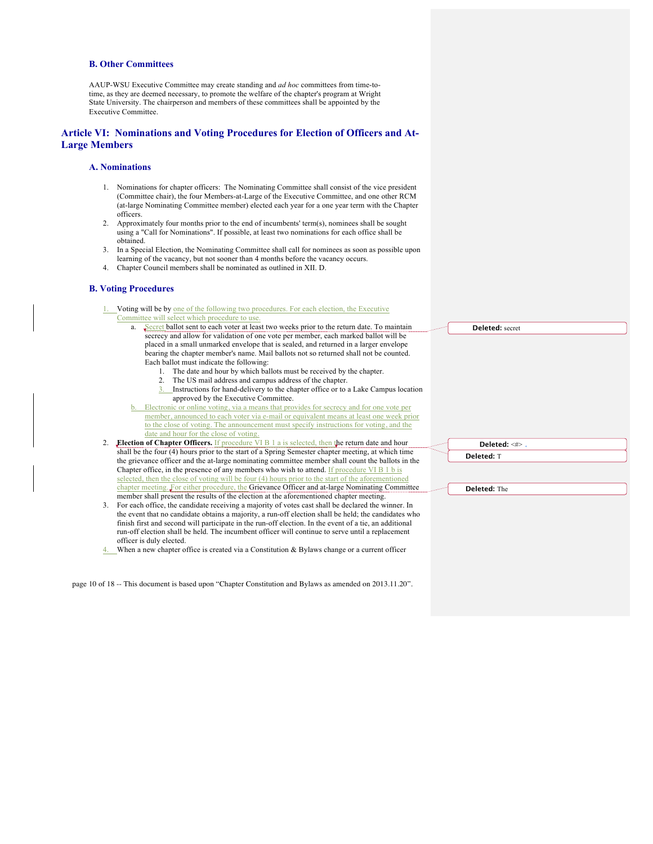#### **B. Other Committees**

AAUP-WSU Executive Committee may create standing and *ad hoc* committees from time-totime, as they are deemed necessary, to promote the welfare of the chapter's program at Wright State University. The chairperson and members of these committees shall be appointed by the Executive Committee.

#### **Article VI: Nominations and Voting Procedures for Election of Officers and At-Large Members**

#### **A. Nominations**

- 1. Nominations for chapter officers: The Nominating Committee shall consist of the vice president (Committee chair), the four Members-at-Large of the Executive Committee, and one other RCM (at-large Nominating Committee member) elected each year for a one year term with the Chapter officers.
- 2. Approximately four months prior to the end of incumbents' term(s), nominees shall be sought using a "Call for Nominations". If possible, at least two nominations for each office shall be obtained.
- 3. In a Special Election, the Nominating Committee shall call for nominees as soon as possible upon learning of the vacancy, but not sooner than 4 months before the vacancy occurs.
- 4. Chapter Council members shall be nominated as outlined in XII. D.

#### **B. Voting Procedures**

- Voting will be by one of the following two procedures. For each election, the Executive Committee will select w
	- $a.$  Secret ballot se secrecy and allo placed in a sma bearing the cha Each ballot mu
		- 1. The da
		- 2. The  $U$
		- 3. Instructions for hand-delivery to the chapter office or to a Lake Campus location approv
	- b. Electronic or on member, annou to the close of date and hour f
- 2. **Election of Chapter Of** shall be the four (4) hours the grievance officer and Chapter office, in the proselected, then the close chapter meeting. For either member shall present the
- 3. For each office, the candidate receiving a majority of voltations of votes can the event that no candidate finish first and second w run-off election shall be officer is duly elected.
- $\underline{4.}$  When a new chapter off

page 10 of 18 -- This document is based upon "Chapter Constitution and Bylaws as amended on 2013.11.20".

| Amen procedure to use.                                                           |                        |
|----------------------------------------------------------------------------------|------------------------|
| ent to each voter at least two weeks prior to the return date. To maintain       | <b>Deleted:</b> secret |
| ow for validation of one vote per member, each marked ballot will be             |                        |
| all unmarked envelope that is sealed, and returned in a larger envelope          |                        |
| apter member's name. Mail ballots not so returned shall not be counted.          |                        |
| ist indicate the following:                                                      |                        |
| ate and hour by which ballots must be received by the chapter.                   |                        |
| JS mail address and campus address of the chapter.                               |                        |
| ctions for hand-delivery to the chapter office or to a Lake Campus location      |                        |
| ved by the Executive Committee.                                                  |                        |
| nline voting, via a means that provides for secrecy and for one vote per         |                        |
| anced to each voter via e-mail or equivalent means at least one week prior       |                        |
| voting. The announcement must specify instructions for voting, and the           |                        |
| for the close of voting.                                                         |                        |
|                                                                                  |                        |
| <b>fficers.</b> If procedure VI B 1 a is selected, then the return date and hour | Deleted: <#>.          |
| in the start of a Spring Semester chapter meeting, at which time                 |                        |
| d the at-large nominating committee member shall count the ballots in the        | Deleted: T             |
| resence of any members who wish to attend. If procedure VI B 1 b is              |                        |
| of voting will be four (4) hours prior to the start of the aforementioned        |                        |
| her procedure, the Grievance Officer and at-large Nominating Committee           | Deleted: The           |
| e results of the election at the aforementioned chapter meeting.                 |                        |
| didate receiving a majority of votes cast shall be declared the winner. In       |                        |
| ate obtains a majority, a run-off election shall be held; the candidates who     |                        |
| vill participate in the run-off election. In the event of a tie, an additional   |                        |
| held. The incumbent officer will continue to serve until a replacement           |                        |
|                                                                                  |                        |
| fice is created via a Constitution & Bylaws change or a current officer          |                        |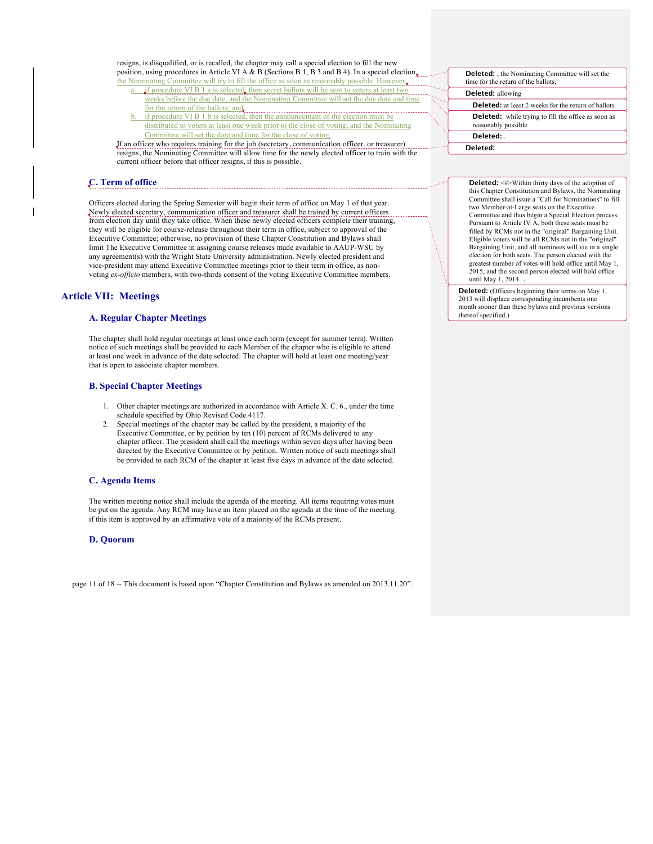resigns, is disqualified, or is recalled, the chapter may call a special election to fill the new position, using procedures in Article VI A & B (Sections B 1, B 3 and B 4). In a special election,

- the Nominating Committee will try to fill the office as soon as reasonably possible. However, if procedure VI B 1 a is selected, then secret ballots will be sent to voters at least two weeks before the due date, and the Nominating Committee will set the due date and time for the return of the ballots; and
	- b. if procedure VI B 1 b is selected, then the announcement of the election must be distributed to voters at least one week prior to the close of voting, and the Nominating Committee will set the date and time for the close of voting.

If an officer who requires training for the job (secretary, communication officer, or treasurer) **THE RESIGNS, THE NOMINATION COMMITTEE WILL ALL COMMITTEE IN THE NOMINATION** TESTING THE NOMINATION OF THE NEWLY ELECTRON OF THE NEWLY ELECTRON WITH THE NEWLY ELECTRON OF THE NEWLY ELECTRON OF THE NEW YORK OF THE NEW YORK current officer before that officer resigns, if this is possible.

## **C. Term of office**

Officers elected during the Spring Semester will begin their term of office on May 1 of that year. Newly elected secretary, communication officer and treasurer shall be trained by current officers from election day until they take office. When these newly elected officers complete their training, they will be eligible for course-release throughout their term in office, subject to approval of the Executive Committee; otherwise, no provision of these Chapter Constitution and Bylaws shall limit The Executive Committee in assigning course releases made available to AAUP-WSU by any agreement(s) with the Wright State University administration. Newly elected president and vice-president may attend Executive Committee meetings prior to their term in office, as nonvoting *ex-officio* members, with two-thirds consent of the voting Executive Committee members.

## **Article VII: Meetings**

#### **A. Regular Chapter Meetings**

The chapter shall hold regular meetings at least once each term (except for summer term). Written notice of such meetings shall be provided to each Member of the chapter who is eligible to attend at least one week in advance of the date selected. The chapter will hold at least one meeting/year that is open to associate chapter members.

## **B. Special Chapter Meetings**

- 1. Other chapter meetings are authorized in accordance with Article X. C. 6., under the time schedule specified by Ohio Revised Code 4117.
- 2. Special meetings of the chapter may be called by the president, a majority of the Executive Committee, or by petition by ten (10) percent of RCMs delivered to any chapter officer. The president shall call the meetings within seven days after having been directed by the Executive Committee or by petition. Written notice of such meetings shall be provided to each RCM of the chapter at least five days in advance of the date selected.

#### **C. Agenda Items**

The written meeting notice shall include the agenda of the meeting. All items requiring votes must be put on the agenda. Any RCM may have an item placed on the agenda at the time of the meeting if this item is approved by an affirmative vote of a majority of the RCMs present.

#### **D. Quorum**

page 11 of 18 -- This document is based upon "Chapter Constitution and Bylaws as amended on 2013.11.20".

| <b>Deleted:</b> , the Nominating Committee will set the<br>time for the return of the ballots. |  |
|------------------------------------------------------------------------------------------------|--|
| <b>Deleted:</b> allowing                                                                       |  |
| <b>Deleted:</b> at least 2 weeks for the return of ballots                                     |  |
| <b>Deleted:</b> while trying to fill the office as soon as<br>reasonably possible              |  |
| Deleted:                                                                                       |  |
| Deleted:                                                                                       |  |

**Deleted:** <#>Within thirty days of the adoption of this Chapter Constitution and Bylaws, the Nominating Committee shall issue a "Call for Nominations" to fill two Member-at-Large seats on the Executive Committee and thus begin a Special Election process. Pursuant to Article IV A, both these seats must be filled by RCMs not in the "original" Bargaining Unit. Eligible voters will be all RCMs not in the "original" Bargaining Unit, and all nominees will vie in a single election for both seats. The person elected with the greatest number of votes will hold office until May 1, 2015, and the second person elected will hold office until May 1, 2014.

**Deleted:** (Officers beginning their terms on May 1, 2013 will displace corresponding incumbents one month sooner than these bylaws and previous versions thereof specified.)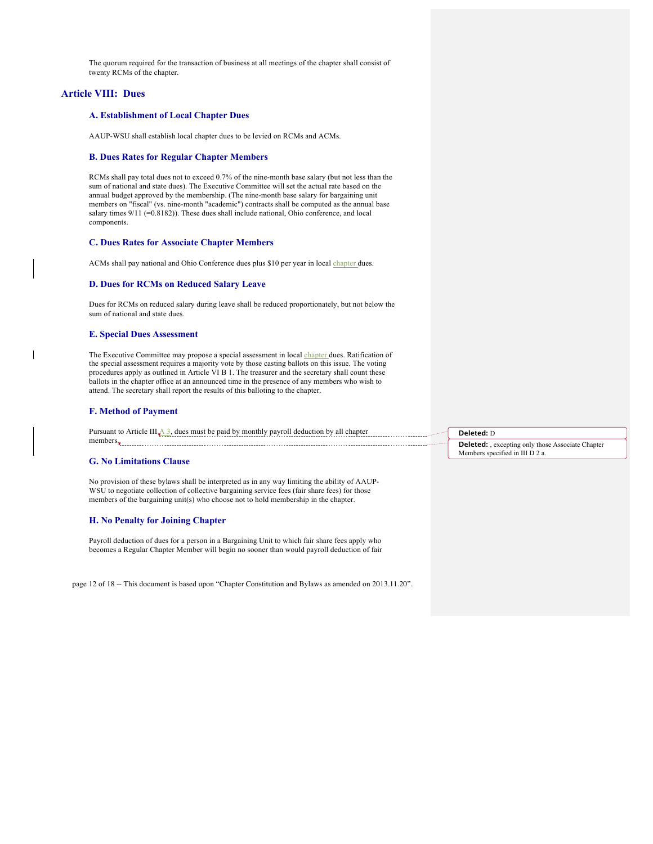The quorum required for the transaction of business at all meetings of the chapter shall consist of twenty RCMs of the chapter.

## **Article VIII: Dues**

## **A. Establishment of Local Chapter Dues**

AAUP-WSU shall establish local chapter dues to be levied on RCMs and ACMs.

#### **B. Dues Rates for Regular Chapter Members**

RCMs shall pay total dues not to exceed 0.7% of the nine-month base salary (but not less than the sum of national and state dues). The Executive Committee will set the actual rate based on the annual budget approved by the membership. (The nine-month base salary for bargaining unit members on "fiscal" (vs. nine-month "academic") contracts shall be computed as the annual base salary times 9/11 (=0.8182)). These dues shall include national, Ohio conference, and local components.

#### **C. Dues Rates for Associate Chapter Members**

ACMs shall pay national and Ohio Conference dues plus \$10 per year in local chapter dues.

#### **D. Dues for RCMs on Reduced Salary Leave**

Dues for RCMs on reduced salary during leave shall be reduced proportionately, but not below the sum of national and state dues.

#### **E. Special Dues Assessment**

The Executive Committee may propose a special assessment in local chapter dues. Ratification of the special assessment requires a majority vote by those casting ballots on this issue. The voting procedures apply as outlined in Article VI B 1. The treasurer and the secretary shall count these ballots in the chapter office at an announced time in the presence of any members who wish to attend. The secretary shall report the results of this balloting to the chapter.

#### **F. Method of Payment**

Pursuant to Article III  $\triangle 3$ , dues must be paid by monthly payroll deduction by all chapter members.

#### **G. No Limitations Clause**

No provision of these bylaws shall be interpreted as in any way limiting the ability of AAUP-WSU to negotiate collection of collective bargaining service fees (fair share fees) for those members of the bargaining unit(s) who choose not to hold membership in the chapter.

#### **H. No Penalty for Joining Chapter**

Payroll deduction of dues for a person in a Bargaining Unit to which fair share fees apply who becomes a Regular Chapter Member will begin no sooner than would payroll deduction of fair

page 12 of 18 -- This document is based upon "Chapter Constitution and Bylaws as amended on 2013.11.20".

#### **Deleted:** D

**Deleted:** , excepting only those Associate Chapter Members specified in III D 2 a.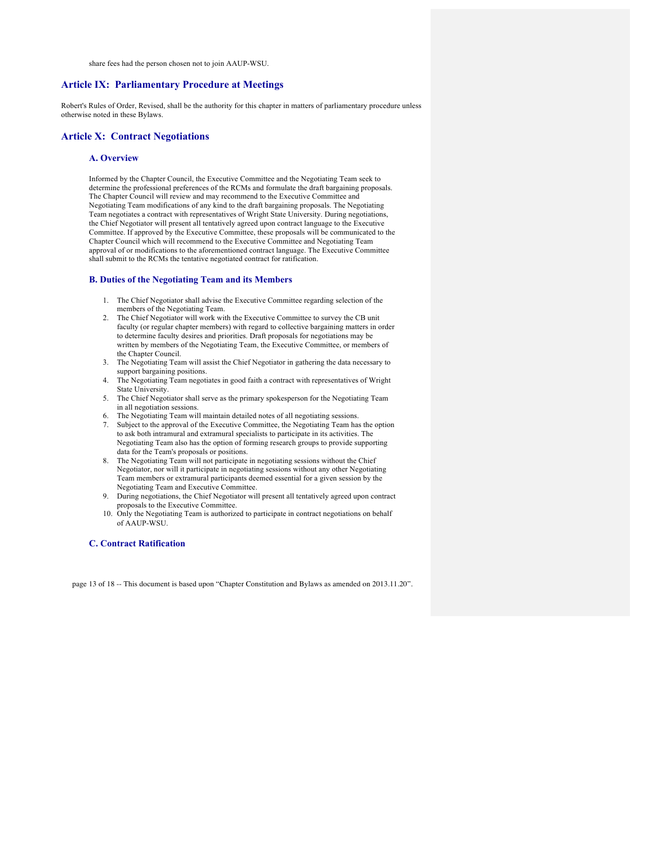share fees had the person chosen not to join AAUP-WSU.

#### **Article IX: Parliamentary Procedure at Meetings**

Robert's Rules of Order, Revised, shall be the authority for this chapter in matters of parliamentary procedure unless otherwise noted in these Bylaws.

#### **Article X: Contract Negotiations**

#### **A. Overview**

Informed by the Chapter Council, the Executive Committee and the Negotiating Team seek to determine the professional preferences of the RCMs and formulate the draft bargaining proposals. The Chapter Council will review and may recommend to the Executive Committee and Negotiating Team modifications of any kind to the draft bargaining proposals. The Negotiating Team negotiates a contract with representatives of Wright State University. During negotiations, the Chief Negotiator will present all tentatively agreed upon contract language to the Executive Committee. If approved by the Executive Committee, these proposals will be communicated to the Chapter Council which will recommend to the Executive Committee and Negotiating Team approval of or modifications to the aforementioned contract language. The Executive Committee shall submit to the RCMs the tentative negotiated contract for ratification.

#### **B. Duties of the Negotiating Team and its Members**

- 1. The Chief Negotiator shall advise the Executive Committee regarding selection of the members of the Negotiating Team.
- 2. The Chief Negotiator will work with the Executive Committee to survey the CB unit faculty (or regular chapter members) with regard to collective bargaining matters in order to determine faculty desires and priorities. Draft proposals for negotiations may be written by members of the Negotiating Team, the Executive Committee, or members of the Chapter Council.
- 3. The Negotiating Team will assist the Chief Negotiator in gathering the data necessary to support bargaining positions.
- 4. The Negotiating Team negotiates in good faith a contract with representatives of Wright State University.
- 5. The Chief Negotiator shall serve as the primary spokesperson for the Negotiating Team in all negotiation sessions.
- 6. The Negotiating Team will maintain detailed notes of all negotiating sessions.
- 7. Subject to the approval of the Executive Committee, the Negotiating Team has the option to ask both intramural and extramural specialists to participate in its activities. The Negotiating Team also has the option of forming research groups to provide supporting data for the Team's proposals or positions.
- 8. The Negotiating Team will not participate in negotiating sessions without the Chief Negotiator, nor will it participate in negotiating sessions without any other Negotiating Team members or extramural participants deemed essential for a given session by the Negotiating Team and Executive Committee.
- 9. During negotiations, the Chief Negotiator will present all tentatively agreed upon contract proposals to the Executive Committee.
- 10. Only the Negotiating Team is authorized to participate in contract negotiations on behalf of AAUP-WSU.

#### **C. Contract Ratification**

page 13 of 18 -- This document is based upon "Chapter Constitution and Bylaws as amended on 2013.11.20".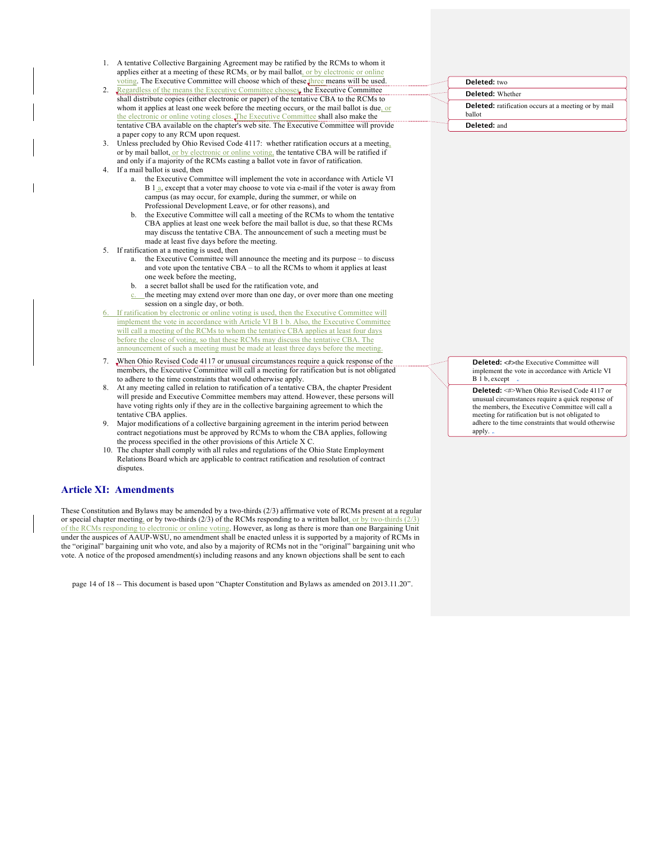- 1. A tentative Collective Bargaining Agreement may be ratified by the RCMs to whom it applies either at a meeting of these RCMs, or by mail ballot, or by electronic or onlin voting. The Executive Committee will choose which of these three means will be used.
- 2. Regardless of the means the Executive Committee chooses, the Executive Committee shall distribute copies (either electronic or paper) of the tentative CBA to the RCMs to whom it applies at least one week before the meeting occurs, or the mail ballot is due, or the electronic or online voting closes. The Executive Committee shall also make the tentative CBA available on the chapter's web site. The Executive Committee will provide a paper copy to any RCM upon request.
- 3. Unless precluded by Ohio Revised Code 4117: whether ratification occurs at a meeting, or by mail ballot, or by electronic or online voting, the tentative CBA will be ratified if and only if a majority of the RCMs casting a ballot vote in favor of ratification.
- 4. If a mail ballot is used, then
	- the Executive Committee will implement the vote in accordance with Article VI B 1<sup>a</sup>, except that a voter may choose to vote via e-mail if the voter is away from campus (as may occur, for example, during the summer, or while on Professional Development Leave, or for other reasons), and
	- b. the Executive Committee will call a meeting of the RCMs to whom the tentative CBA applies at least one week before the mail ballot is due, so that these RCMs may discuss the tentative CBA. The announcement of such a meeting must be made at least five days before the meeting.
- 5. If ratification at a meeting is used, then
	- a. the Executive Committee will announce the meeting and its purpose to discuss and vote upon the tentative CBA – to all the RCMs to whom it applies at least one week before the meeting,
	- b. a secret ballot shall be used for the ratification vote, and
	- c. the meeting may extend over more than one day, or over more than one meeting session on a single day, or both.
- If ratification by electronic or online voting is used, then the Executive Committee will implement the vote in accordance with Article VI B 1 b. Also, the Executive Committee will call a meeting of the RCMs to whom the tentative CBA applies at least four days before the close of voting, so that these RCMs may discuss the tentative CBA. The announcement of such a meeting must be made at least three days before the meeting.
- 7. When Ohio Revised Code 4117 or unusual circumstances require a quick response of the members, the Executive Committee will call a meeting for ratification but is not obligated to adhere to the time constraints that would otherwise apply.
- 8. At any meeting called in relation to ratification of a tentative CBA, the chapter President will preside and Executive Committee members may attend. However, these persons will have voting rights only if they are in the collective bargaining agreement to which the tentative CBA applies.
- Major modifications of a collective bargaining agreement in the interim period between contract negotiations must be approved by RCMs to whom the CBA applies, following the process specified in the other provisions of this Article X C.
- 10. The chapter shall comply with all rules and regulations of the Ohio State Employment Relations Board which are applicable to contract ratification and resolution of contract disputes.

#### **Article XI: Amendments**

These Constitution and Bylaws may be amended by a two-thirds (2/3) affirmative vote of RCMs present at a regular or special chapter meeting, or by two-thirds (2/3) of the RCMs responding to a written ballot, or by two-thirds (2/3) of the RCMs responding to electronic or online voting. However, as long as there is more than one Bargaining Unit under the auspices of AAUP-WSU, no amendment shall be enacted unless it is supported by a majority of RCMs in the "original" bargaining unit who vote, and also by a majority of RCMs not in the "original" bargaining unit who vote. A notice of the proposed amendment(s) including reasons and any known objections shall be sent to each

page 14 of 18 -- This document is based upon "Chapter Constitution and Bylaws as amended on 2013.11.20".

| Deleted: two                                                          |
|-----------------------------------------------------------------------|
| <b>Deleted:</b> Whether                                               |
| <b>Deleted:</b> ratification occurs at a meeting or by mail<br>ballot |
| Deleted: and                                                          |

**Deleted:** <#>the Executive Committee will implement the vote in accordance with Article VI B 1 b, except

**Deleted:** <#>When Ohio Revised Code 4117 or unusual circumstances require a quick response of the members, the Executive Committee will call a meeting for ratification but is not obligated to adhere to the time constraints that would otherwise apply.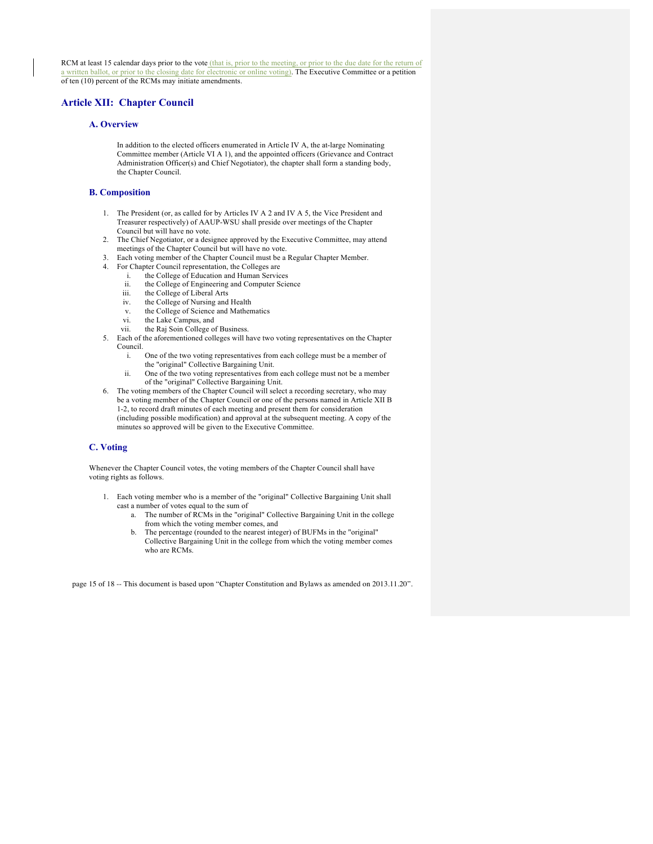RCM at least 15 calendar days prior to the vote (that is, prior to the meeting, or prior to the due date for the return of a written ballot, or prior to the closing date for electronic or online voting). The Executive Committee or a petition of ten (10) percent of the RCMs may initiate amendments.

## **Article XII: Chapter Council**

## **A. Overview**

In addition to the elected officers enumerated in Article IV A, the at-large Nominating Committee member (Article VI A 1), and the appointed officers (Grievance and Contract Administration Officer(s) and Chief Negotiator), the chapter shall form a standing body, the Chapter Council.

#### **B. Composition**

- 1. The President (or, as called for by Articles IV A 2 and IV A 5, the Vice President and Treasurer respectively) of AAUP-WSU shall preside over meetings of the Chapter Council but will have no vote.
- 2. The Chief Negotiator, or a designee approved by the Executive Committee, may attend meetings of the Chapter Council but will have no vote.
- 3. Each voting member of the Chapter Council must be a Regular Chapter Member.
- 4. For Chapter Council representation, the Colleges are
	- i. the College of Education and Human Services
		- ii. the College of Engineering and Computer Science
		- iii. the College of Liberal Arts
		- iv. the College of Nursing and Health
		- v. the College of Science and Mathematics
		- vi. the Lake Campus, and
		- vii. the Raj Soin College of Business.
- 5. Each of the aforementioned colleges will have two voting representatives on the Chapter Council.
	- i. One of the two voting representatives from each college must be a member of the "original" Collective Bargaining Unit.
	- ii. One of the two voting representatives from each college must not be a member of the "original" Collective Bargaining Unit.
- 6. The voting members of the Chapter Council will select a recording secretary, who may be a voting member of the Chapter Council or one of the persons named in Article XII B 1-2, to record draft minutes of each meeting and present them for consideration (including possible modification) and approval at the subsequent meeting. A copy of the minutes so approved will be given to the Executive Committee.

#### **C. Voting**

Whenever the Chapter Council votes, the voting members of the Chapter Council shall have voting rights as follows.

- 1. Each voting member who is a member of the "original" Collective Bargaining Unit shall cast a number of votes equal to the sum of
	- a. The number of RCMs in the "original" Collective Bargaining Unit in the college from which the voting member comes, and
	- b. The percentage (rounded to the nearest integer) of BUFMs in the "original" Collective Bargaining Unit in the college from which the voting member comes who are RCMs

page 15 of 18 -- This document is based upon "Chapter Constitution and Bylaws as amended on 2013.11.20".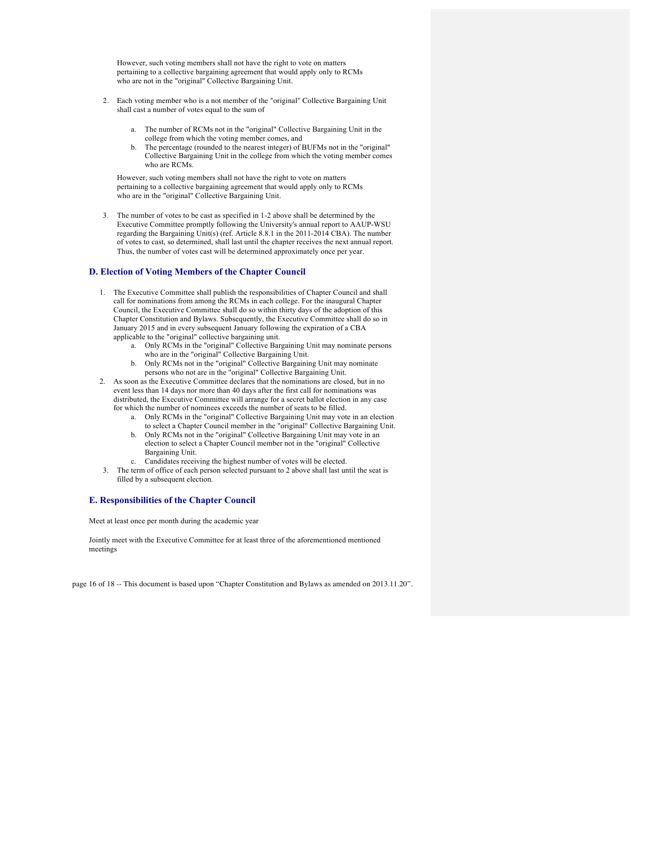However, such voting members shall not have the right to vote on matters pertaining to a collective bargaining agreement that would apply only to RCMs who are not in the "original" Collective Bargaining Unit.

- 2. Each voting member who is a not member of the "original" Collective Bargaining Unit shall cast a number of votes equal to the sum of
	- a. The number of RCMs not in the "original" Collective Bargaining Unit in the college from which the voting member comes, and
	- b. The percentage (rounded to the nearest integer) of BUFMs not in the "original" Collective Bargaining Unit in the college from which the voting member comes who are RCMs.

However, such voting members shall not have the right to vote on matters pertaining to a collective bargaining agreement that would apply only to RCMs who are in the "original" Collective Bargaining Unit.

3. The number of votes to be cast as specified in 1-2 above shall be determined by the Executive Committee promptly following the University's annual report to AAUP-WSU regarding the Bargaining Unit(s) (ref. Article 8.8.1 in the 2011-2014 CBA). The number of votes to cast, so determined, shall last until the chapter receives the next annual report. Thus, the number of votes cast will be determined approximately once per year.

#### **D. Election of Voting Members of the Chapter Council**

- 1. The Executive Committee shall publish the responsibilities of Chapter Council and shall call for nominations from among the RCMs in each college. For the inaugural Chapter Council, the Executive Committee shall do so within thirty days of the adoption of this Chapter Constitution and Bylaws. Subsequently, the Executive Committee shall do so in January 2015 and in every subsequent January following the expiration of a CBA applicable to the "original" collective bargaining unit.
	- a. Only RCMs in the "original" Collective Bargaining Unit may nominate persons who are in the "original" Collective Bargaining Unit.
	- b. Only RCMs not in the "original" Collective Bargaining Unit may nominate persons who not are in the "original" Collective Bargaining Unit.
- 2. As soon as the Executive Committee declares that the nominations are closed, but in no event less than 14 days nor more than 40 days after the first call for nominations was distributed, the Executive Committee will arrange for a secret ballot election in any case for which the number of nominees exceeds the number of seats to be filled.
	- a. Only RCMs in the "original" Collective Bargaining Unit may vote in an election to select a Chapter Council member in the "original" Collective Bargaining Unit.
	- b. Only RCMs not in the "original" Collective Bargaining Unit may vote in an election to select a Chapter Council member not in the "original" Collective Bargaining Unit.
	- c. Candidates receiving the highest number of votes will be elected.
- 3. The term of office of each person selected pursuant to 2 above shall last until the seat is filled by a subsequent election.

#### **E. Responsibilities of the Chapter Council**

Meet at least once per month during the academic year

Jointly meet with the Executive Committee for at least three of the aforementioned mentioned meetings

page 16 of 18 -- This document is based upon "Chapter Constitution and Bylaws as amended on 2013.11.20".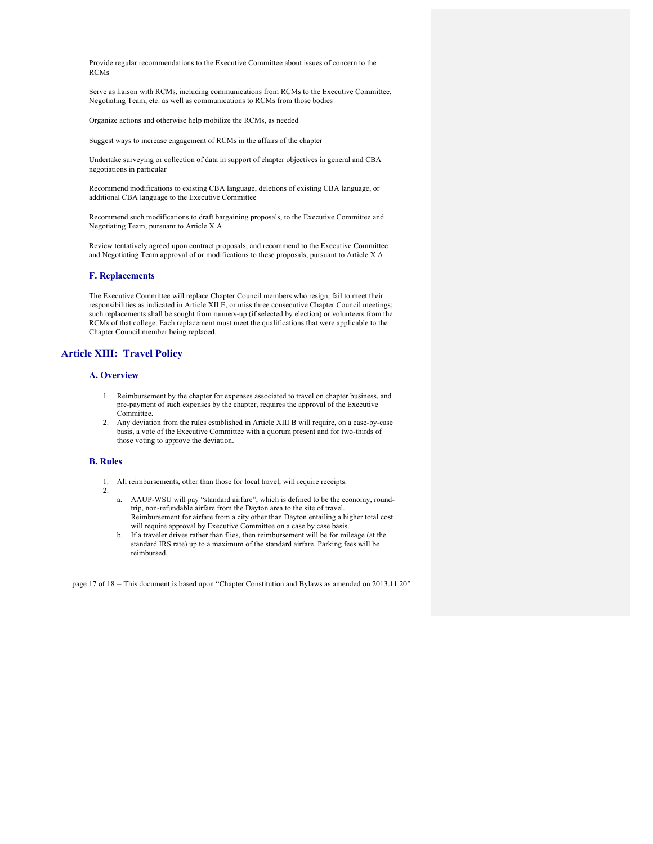Provide regular recommendations to the Executive Committee about issues of concern to the RCMs

Serve as liaison with RCMs, including communications from RCMs to the Executive Committee, Negotiating Team, etc. as well as communications to RCMs from those bodies

Organize actions and otherwise help mobilize the RCMs, as needed

Suggest ways to increase engagement of RCMs in the affairs of the chapter

Undertake surveying or collection of data in support of chapter objectives in general and CBA negotiations in particular

Recommend modifications to existing CBA language, deletions of existing CBA language, or additional CBA language to the Executive Committee

Recommend such modifications to draft bargaining proposals, to the Executive Committee and Negotiating Team, pursuant to Article X A

Review tentatively agreed upon contract proposals, and recommend to the Executive Committee and Negotiating Team approval of or modifications to these proposals, pursuant to Article X A

## **F. Replacements**

The Executive Committee will replace Chapter Council members who resign, fail to meet their responsibilities as indicated in Article XII E, or miss three consecutive Chapter Council meetings; such replacements shall be sought from runners-up (if selected by election) or volunteers from the RCMs of that college. Each replacement must meet the qualifications that were applicable to the Chapter Council member being replaced.

## **Article XIII: Travel Policy**

## **A. Overview**

- 1. Reimbursement by the chapter for expenses associated to travel on chapter business, and pre-payment of such expenses by the chapter, requires the approval of the Executive Committee.
- 2. Any deviation from the rules established in Article XIII B will require, on a case-by-case basis, a vote of the Executive Committee with a quorum present and for two-thirds of those voting to approve the deviation.

#### **B. Rules**

2.

- 1. All reimbursements, other than those for local travel, will require receipts.
	- a. AAUP-WSU will pay "standard airfare", which is defined to be the economy, roundtrip, non-refundable airfare from the Dayton area to the site of travel. Reimbursement for airfare from a city other than Dayton entailing a higher total cost will require approval by Executive Committee on a case by case basis.
	- b. If a traveler drives rather than flies, then reimbursement will be for mileage (at the standard IRS rate) up to a maximum of the standard airfare. Parking fees will be reimbursed.

page 17 of 18 -- This document is based upon "Chapter Constitution and Bylaws as amended on 2013.11.20".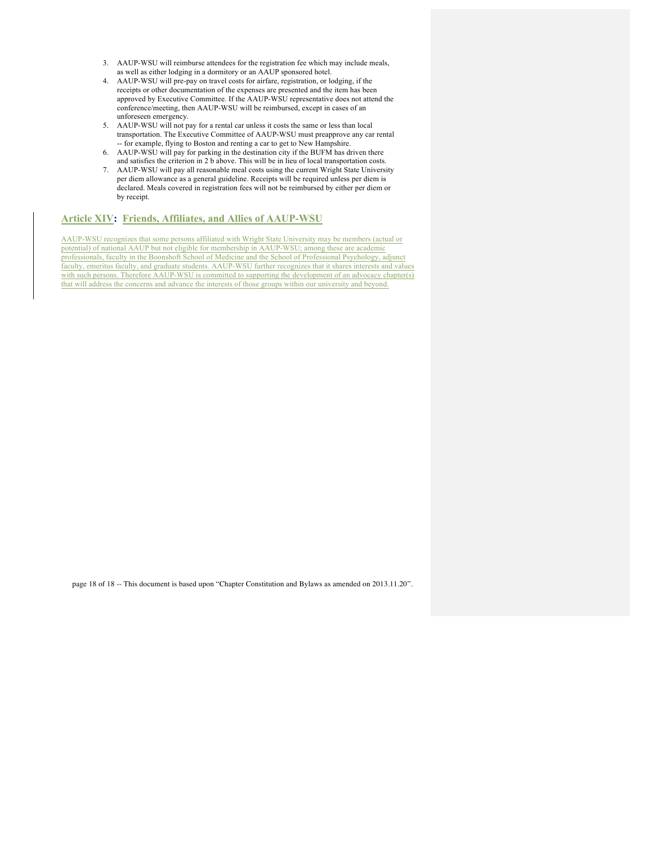- 3. AAUP-WSU will reimburse attendees for the registration fee which may include meals, as well as either lodging in a dormitory or an AAUP sponsored hotel.
- 4. AAUP-WSU will pre-pay on travel costs for airfare, registration, or lodging, if the receipts or other documentation of the expenses are presented and the item has been approved by Executive Committee. If the AAUP-WSU representative does not attend the conference/meeting, then AAUP-WSU will be reimbursed, except in cases of an unforeseen emergency.
- 5. AAUP-WSU will not pay for a rental car unless it costs the same or less than local transportation. The Executive Committee of AAUP-WSU must preapprove any car rental -- for example, flying to Boston and renting a car to get to New Hampshire.
- 6. AAUP-WSU will pay for parking in the destination city if the BUFM has driven there and satisfies the criterion in 2 b above. This will be in lieu of local transportation costs.
- 7. AAUP-WSU will pay all reasonable meal costs using the current Wright State University per diem allowance as a general guideline. Receipts will be required unless per diem is declared. Meals covered in registration fees will not be reimbursed by either per diem or by receipt.

#### **Article XIV: Friends, Affiliates, and Allies of AAUP-WSU**

AAUP-WSU recognizes that some persons affiliated with Wright State University may be members (actual or potential) of national AAUP but not eligible for membership in AAUP-WSU; among these are academic professionals, faculty in the Boonshoft School of Medicine and the School of Professional Psychology, adjunct faculty, emeritus faculty, and graduate students. AAUP-WSU further recognizes that it shares interests and values with such persons. Therefore AAUP-WSU is committed to supporting the development of an advocacy chapter(s) that will address the concerns and advance the interests of those groups within our university and beyond.

page 18 of 18 -- This document is based upon "Chapter Constitution and Bylaws as amended on 2013.11.20".